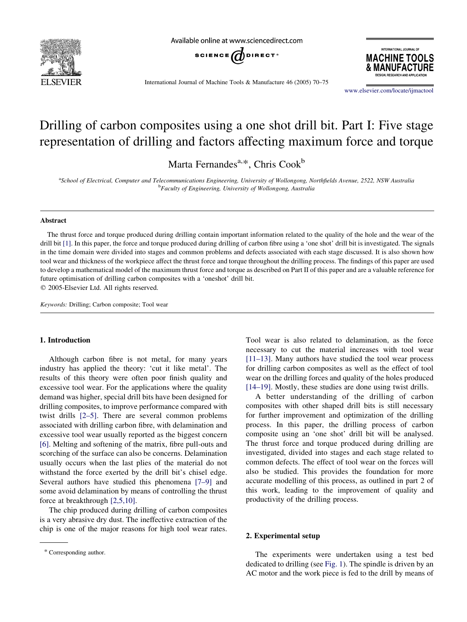

Available online at www.sciencedirect.com





International Journal of Machine Tools & Manufacture 46 (2005) 70–75

[www.elsevier.com/locate/ijmactool](http://www.elsevier.com/locate/ijmactool)

# Drilling of carbon composites using a one shot drill bit. Part I: Five stage representation of drilling and factors affecting maximum force and torque

Marta Fernandes<sup>a,\*</sup>, Chris Cook<sup>b</sup>

a School of Electrical, Computer and Telecommunications Engineering, University of Wollongong, Northfields Avenue, 2522, NSW Australia <sup>b</sup>Faculty of Engineering, University of Wollongong, Australia

## Abstract

The thrust force and torque produced during drilling contain important information related to the quality of the hole and the wear of the drill bit [1]. In this paper, the force and torque produced during drilling of carbon fibre using a 'one shot' drill bit is investigated. The signals in the t[ime](#page-5-0) domain were divided into stages and common problems and defects associated with each stage discussed. It is also shown how tool wear and thickness of the workpiece affect the thrust force and torque throughout the drilling process. The findings of this paper are used to develop a mathematical model of the maximum thrust force and torque as described on Part II of this paper and are a valuable reference for future optimisation of drilling carbon composites with a 'oneshot' drill bit.

 $Q$  2005-Elsevier Ltd. All rights reserved.

Keywords: Drilling; Carbon composite; Tool wear

# 1. Introduction

Although carbon fibre is not metal, for many years industry has applied the theory: 'cut it like metal'. The results of this theory were often poor finish quality and excessive tool wear. For the applications where the quality demand was higher, special drill bits have been designed for drilling composites, to improve performance compared with twist drills [\[2–5\]](#page-5-0). There are several common problems associated with drilling carbon fibre, with delamination and excessive tool wear usually reported as the biggest concern [\[6\]](#page-5-0). Melting and softening of the matrix, fibre pull-outs and scorching of the surface can also be concerns. Delamination usually occurs when the last plies of the material do not withstand the force exerted by the drill bit's chisel edge. Several authors have studied this phenomena [\[7–9\]](#page-5-0) and some avoid delamination by means of controlling the thrust force at breakthrough [\[2,5,10\]](#page-5-0).

The chip produced during drilling of carbon composites is a very abrasive dry dust. The ineffective extraction of the chip is one of the major reasons for high tool wear rates. Tool wear is also related to delamination, as the force necessary to cut the material increases with tool wear [\[11–13\]](#page-5-0). Many authors have studied the tool wear process for drilling carbon composites as well as the effect of tool wear on the drilling forces and quality of the holes produced [\[14–19\]](#page-5-0). Mostly, these studies are done using twist drills.

A better understanding of the drilling of carbon composites with other shaped drill bits is still necessary for further improvement and optimization of the drilling process. In this paper, the drilling process of carbon composite using an 'one shot' drill bit will be analysed. The thrust force and torque produced during drilling are investigated, divided into stages and each stage related to common defects. The effect of tool wear on the forces will also be studied. This provides the foundation for more accurate modelling of this process, as outlined in part 2 of this work, leading to the improvement of quality and productivity of the drilling process.

#### 2. Experimental setup

The experiments were undertaken using a test bed dedicated to drilling (see [Fig. 1](#page-1-0)). The spindle is driven by an AC motor and the work piece is fed to the drill by means of

<sup>\*</sup> Corresponding author.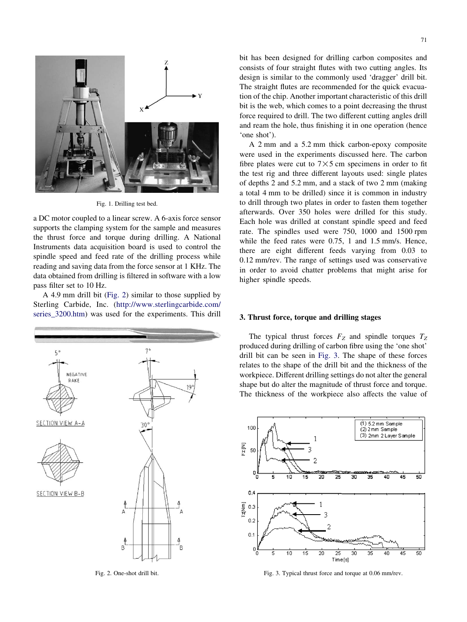<span id="page-1-0"></span>

Fig. 1. Drilling test bed.

a DC motor coupled to a linear screw. A 6-axis force sensor supports the clamping system for the sample and measures the thrust force and torque during drilling. A National Instruments data acquisition board is used to control the spindle speed and feed rate of the drilling process while reading and saving data from the force sensor at 1 KHz. The data obtained from drilling is filtered in software with a low pass filter set to 10 Hz.

A 4.9 mm drill bit (Fig. 2) similar to those supplied by Sterling Carbide, Inc. [\(http://www.sterlingcarbide.com/](http://www.sterlingcarbide.com/series_3200.htm) series 3200.htm) was used for the experiments. This drill



bit has been designed for drilling carbon composites and consists of four straight flutes with two cutting angles. Its design is similar to the commonly used 'dragger' drill bit. The straight flutes are recommended for the quick evacuation of the chip. Another important characteristic of this drill bit is the web, which comes to a point decreasing the thrust force required to drill. The two different cutting angles drill and ream the hole, thus finishing it in one operation (hence 'one shot').

A 2 mm and a 5.2 mm thick carbon-epoxy composite were used in the experiments discussed here. The carbon fibre plates were cut to  $7 \times 5$  cm specimens in order to fit the test rig and three different layouts used: single plates of depths 2 and 5.2 mm, and a stack of two 2 mm (making a total 4 mm to be drilled) since it is common in industry to drill through two plates in order to fasten them together afterwards. Over 350 holes were drilled for this study. Each hole was drilled at constant spindle speed and feed rate. The spindles used were 750, 1000 and 1500 rpm while the feed rates were 0.75, 1 and 1.5 mm/s. Hence, there are eight different feeds varying from 0.03 to 0.12 mm/rev. The range of settings used was conservative in order to avoid chatter problems that might arise for higher spindle speeds.

### 3. Thrust force, torque and drilling stages

The typical thrust forces  $F_Z$  and spindle torques  $T_Z$ produced during drilling of carbon fibre using the 'one shot' drill bit can be seen in Fig. 3. The shape of these forces relates to the shape of the drill bit and the thickness of the workpiece. Different drilling settings do not alter the general shape but do alter the magnitude of thrust force and torque. The thickness of the workpiece also affects the value of



Fig. 2. One-shot drill bit. Fig. 3. Typical thrust force and torque at 0.06 mm/rev.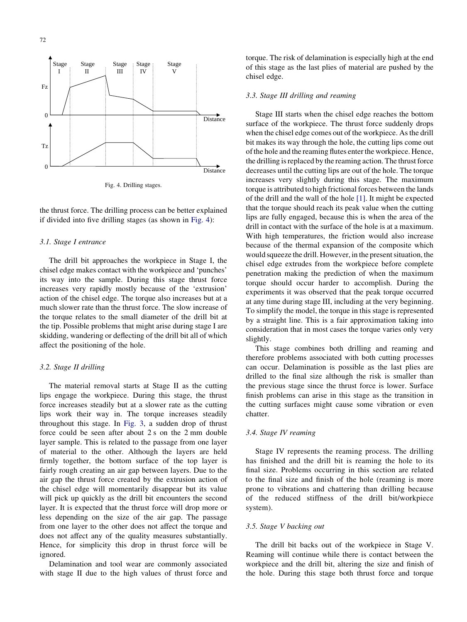

Fig. 4. Drilling stages.

the thrust force. The drilling process can be better explained if divided into five drilling stages (as shown in Fig. 4):

### 3.1. Stage I entrance

The drill bit approaches the workpiece in Stage I, the chisel edge makes contact with the workpiece and 'punches' its way into the sample. During this stage thrust force increases very rapidly mostly because of the 'extrusion' action of the chisel edge. The torque also increases but at a much slower rate than the thrust force. The slow increase of the torque relates to the small diameter of the drill bit at the tip. Possible problems that might arise during stage I are skidding, wandering or deflecting of the drill bit all of which affect the positioning of the hole.

# 3.2. Stage II drilling

The material removal starts at Stage II as the cutting lips engage the workpiece. During this stage, the thrust force increases steadily but at a slower rate as the cutting lips work their way in. The torque increases steadily throughout this stage. In [Fig. 3](#page-1-0), a sudden drop of thrust force could be seen after about 2 s on the 2 mm double layer sample. This is related to the passage from one layer of material to the other. Although the layers are held firmly together, the bottom surface of the top layer is fairly rough creating an air gap between layers. Due to the air gap the thrust force created by the extrusion action of the chisel edge will momentarily disappear but its value will pick up quickly as the drill bit encounters the second layer. It is expected that the thrust force will drop more or less depending on the size of the air gap. The passage from one layer to the other does not affect the torque and does not affect any of the quality measures substantially. Hence, for simplicity this drop in thrust force will be ignored.

Delamination and tool wear are commonly associated with stage II due to the high values of thrust force and

torque. The risk of delamination is especially high at the end of this stage as the last plies of material are pushed by the chisel edge.

### 3.3. Stage III drilling and reaming

Stage III starts when the chisel edge reaches the bottom surface of the workpiece. The thrust force suddenly drops when the chisel edge comes out of the workpiece. As the drill bit makes its way through the hole, the cutting lips come out of the hole and the reaming flutes enter the workpiece. Hence, the drilling is replaced by the reaming action. The thrust force decreases until the cutting lips are out of the hole. The torque increases very slightly during this stage. The maximum torque is attributed to high frictional forces between the lands of the drill and the wall of the hole [\[1\]](#page-5-0). It might be expected that the torque should reach its peak value when the cutting lips are fully engaged, because this is when the area of the drill in contact with the surface of the hole is at a maximum. With high temperatures, the friction would also increase because of the thermal expansion of the composite which would squeeze the drill. However, in the present situation, the chisel edge extrudes from the workpiece before complete penetration making the prediction of when the maximum torque should occur harder to accomplish. During the experiments it was observed that the peak torque occurred at any time during stage III, including at the very beginning. To simplify the model, the torque in this stage is represented by a straight line. This is a fair approximation taking into consideration that in most cases the torque varies only very slightly.

This stage combines both drilling and reaming and therefore problems associated with both cutting processes can occur. Delamination is possible as the last plies are drilled to the final size although the risk is smaller than the previous stage since the thrust force is lower. Surface finish problems can arise in this stage as the transition in the cutting surfaces might cause some vibration or even chatter.

## 3.4. Stage IV reaming

Stage IV represents the reaming process. The drilling has finished and the drill bit is reaming the hole to its final size. Problems occurring in this section are related to the final size and finish of the hole (reaming is more prone to vibrations and chattering than drilling because of the reduced stiffness of the drill bit/workpiece system).

# 3.5. Stage V backing out

The drill bit backs out of the workpiece in Stage V. Reaming will continue while there is contact between the workpiece and the drill bit, altering the size and finish of the hole. During this stage both thrust force and torque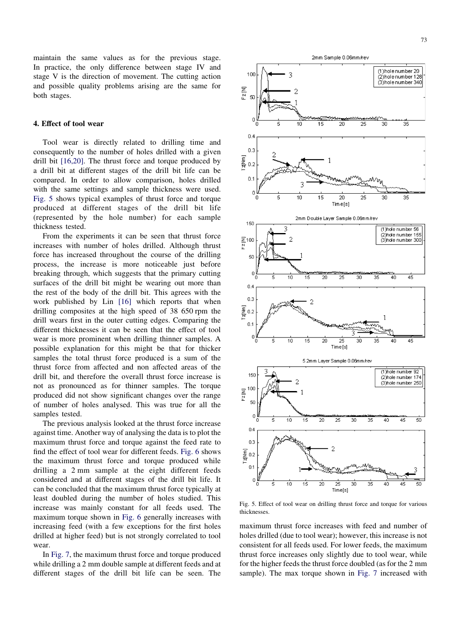maintain the same values as for the previous stage. In practice, the only difference between stage IV and stage V is the direction of movement. The cutting action and possible quality problems arising are the same for both stages.

#### 4. Effect of tool wear

Tool wear is directly related to drilling time and consequently to the number of holes drilled with a given drill bit [\[16,20\].](#page-5-0) The thrust force and torque produced by a drill bit at different stages of the drill bit life can be compared. In order to allow comparison, holes drilled with the same settings and sample thickness were used. Fig. 5 shows typical examples of thrust force and torque produced at different stages of the drill bit life (represented by the hole number) for each sample thickness tested.

From the experiments it can be seen that thrust force increases with number of holes drilled. Although thrust force has increased throughout the course of the drilling process, the increase is more noticeable just before breaking through, which suggests that the primary cutting surfaces of the drill bit might be wearing out more than the rest of the body of the drill bit. This agrees with the work published by Lin [\[16\]](#page-5-0) which reports that when drilling composites at the high speed of 38 650 rpm the drill wears first in the outer cutting edges. Comparing the different thicknesses it can be seen that the effect of tool wear is more prominent when drilling thinner samples. A possible explanation for this might be that for thicker samples the total thrust force produced is a sum of the thrust force from affected and non affected areas of the drill bit, and therefore the overall thrust force increase is not as pronounced as for thinner samples. The torque produced did not show significant changes over the range of number of holes analysed. This was true for all the samples tested.

The previous analysis looked at the thrust force increase against time. Another way of analysing the data is to plot the maximum thrust force and torque against the feed rate to find the effect of tool wear for different feeds. [Fig. 6](#page-4-0) shows the maximum thrust force and torque produced while drilling a 2 mm sample at the eight different feeds considered and at different stages of the drill bit life. It can be concluded that the maximum thrust force typically at least doubled during the number of holes studied. This increase was mainly constant for all feeds used. The maximum torque shown in [Fig. 6](#page-4-0) generally increases with increasing feed (with a few exceptions for the first holes drilled at higher feed) but is not strongly correlated to tool wear.

In [Fig. 7](#page-4-0), the maximum thrust force and torque produced while drilling a 2 mm double sample at different feeds and at different stages of the drill bit life can be seen. The



Fig. 5. Effect of tool wear on drilling thrust force and torque for various thicknesses.

maximum thrust force increases with feed and number of holes drilled (due to tool wear); however, this increase is not consistent for all feeds used. For lower feeds, the maximum thrust force increases only slightly due to tool wear, while for the higher feeds the thrust force doubled (as for the 2 mm sample). The max torque shown in [Fig. 7](#page-4-0) increased with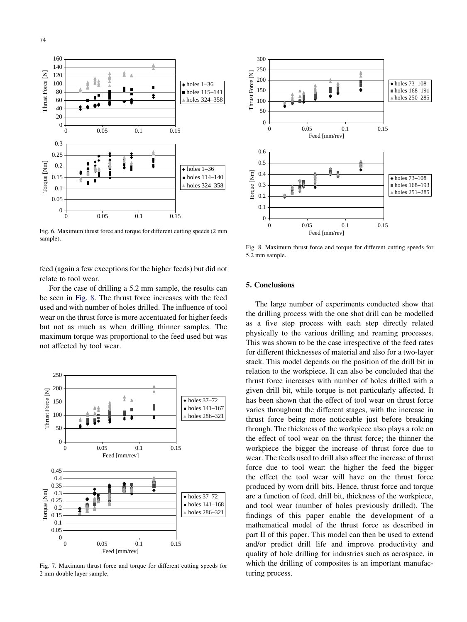<span id="page-4-0"></span>

Fig. 6. Maximum thrust force and torque for different cutting speeds (2 mm sample).

feed (again a few exceptions for the higher feeds) but did not relate to tool wear.

For the case of drilling a 5.2 mm sample, the results can be seen in Fig. 8. The thrust force increases with the feed used and with number of holes drilled. The influence of tool wear on the thrust force is more accentuated for higher feeds but not as much as when drilling thinner samples. The maximum torque was proportional to the feed used but was not affected by tool wear.



Fig. 7. Maximum thrust force and torque for different cutting speeds for 2 mm double layer sample.



Fig. 8. Maximum thrust force and torque for different cutting speeds for 5.2 mm sample.

# 5. Conclusions

The large number of experiments conducted show that the drilling process with the one shot drill can be modelled as a five step process with each step directly related physically to the various drilling and reaming processes. This was shown to be the case irrespective of the feed rates for different thicknesses of material and also for a two-layer stack. This model depends on the position of the drill bit in relation to the workpiece. It can also be concluded that the thrust force increases with number of holes drilled with a given drill bit, while torque is not particularly affected. It has been shown that the effect of tool wear on thrust force varies throughout the different stages, with the increase in thrust force being more noticeable just before breaking through. The thickness of the workpiece also plays a role on the effect of tool wear on the thrust force; the thinner the workpiece the bigger the increase of thrust force due to wear. The feeds used to drill also affect the increase of thrust force due to tool wear: the higher the feed the bigger the effect the tool wear will have on the thrust force produced by worn drill bits. Hence, thrust force and torque are a function of feed, drill bit, thickness of the workpiece, and tool wear (number of holes previously drilled). The findings of this paper enable the development of a mathematical model of the thrust force as described in part II of this paper. This model can then be used to extend and/or predict drill life and improve productivity and quality of hole drilling for industries such as aerospace, in which the drilling of composites is an important manufacturing process.